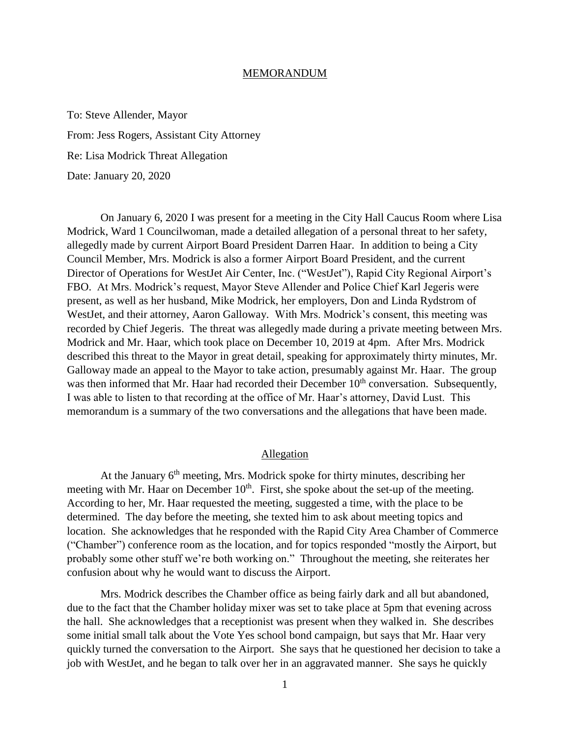## MEMORANDUM

To: Steve Allender, Mayor From: Jess Rogers, Assistant City Attorney Re: Lisa Modrick Threat Allegation Date: January 20, 2020

On January 6, 2020 I was present for a meeting in the City Hall Caucus Room where Lisa Modrick, Ward 1 Councilwoman, made a detailed allegation of a personal threat to her safety, allegedly made by current Airport Board President Darren Haar. In addition to being a City Council Member, Mrs. Modrick is also a former Airport Board President, and the current Director of Operations for WestJet Air Center, Inc. ("WestJet"), Rapid City Regional Airport's FBO. At Mrs. Modrick's request, Mayor Steve Allender and Police Chief Karl Jegeris were present, as well as her husband, Mike Modrick, her employers, Don and Linda Rydstrom of WestJet, and their attorney, Aaron Galloway. With Mrs. Modrick's consent, this meeting was recorded by Chief Jegeris. The threat was allegedly made during a private meeting between Mrs. Modrick and Mr. Haar, which took place on December 10, 2019 at 4pm. After Mrs. Modrick described this threat to the Mayor in great detail, speaking for approximately thirty minutes, Mr. Galloway made an appeal to the Mayor to take action, presumably against Mr. Haar. The group was then informed that Mr. Haar had recorded their December 10<sup>th</sup> conversation. Subsequently, I was able to listen to that recording at the office of Mr. Haar's attorney, David Lust. This memorandum is a summary of the two conversations and the allegations that have been made.

## Allegation

At the January  $6<sup>th</sup>$  meeting, Mrs. Modrick spoke for thirty minutes, describing her meeting with Mr. Haar on December  $10<sup>th</sup>$ . First, she spoke about the set-up of the meeting. According to her, Mr. Haar requested the meeting, suggested a time, with the place to be determined. The day before the meeting, she texted him to ask about meeting topics and location. She acknowledges that he responded with the Rapid City Area Chamber of Commerce ("Chamber") conference room as the location, and for topics responded "mostly the Airport, but probably some other stuff we're both working on." Throughout the meeting, she reiterates her confusion about why he would want to discuss the Airport.

Mrs. Modrick describes the Chamber office as being fairly dark and all but abandoned, due to the fact that the Chamber holiday mixer was set to take place at 5pm that evening across the hall. She acknowledges that a receptionist was present when they walked in. She describes some initial small talk about the Vote Yes school bond campaign, but says that Mr. Haar very quickly turned the conversation to the Airport. She says that he questioned her decision to take a job with WestJet, and he began to talk over her in an aggravated manner. She says he quickly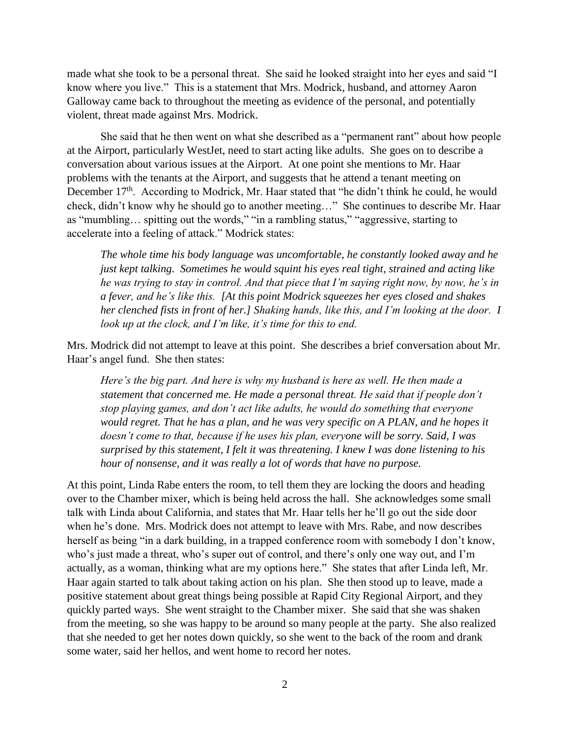made what she took to be a personal threat. She said he looked straight into her eyes and said "I know where you live." This is a statement that Mrs. Modrick, husband, and attorney Aaron Galloway came back to throughout the meeting as evidence of the personal, and potentially violent, threat made against Mrs. Modrick.

She said that he then went on what she described as a "permanent rant" about how people at the Airport, particularly WestJet, need to start acting like adults. She goes on to describe a conversation about various issues at the Airport. At one point she mentions to Mr. Haar problems with the tenants at the Airport, and suggests that he attend a tenant meeting on December  $17<sup>th</sup>$ . According to Modrick, Mr. Haar stated that "he didn't think he could, he would check, didn't know why he should go to another meeting…" She continues to describe Mr. Haar as "mumbling… spitting out the words," "in a rambling status," "aggressive, starting to accelerate into a feeling of attack." Modrick states:

*The whole time his body language was uncomfortable, he constantly looked away and he just kept talking. Sometimes he would squint his eyes real tight, strained and acting like he was trying to stay in control. And that piece that I'm saying right now, by now, he's in a fever, and he's like this. [At this point Modrick squeezes her eyes closed and shakes her clenched fists in front of her.] Shaking hands, like this, and I'm looking at the door. I look up at the clock, and I'm like, it's time for this to end.*

Mrs. Modrick did not attempt to leave at this point. She describes a brief conversation about Mr. Haar's angel fund. She then states:

*Here's the big part. And here is why my husband is here as well. He then made a statement that concerned me. He made a personal threat. He said that if people don't stop playing games, and don't act like adults, he would do something that everyone would regret. That he has a plan, and he was very specific on A PLAN, and he hopes it doesn't come to that, because if he uses his plan, everyone will be sorry. Said, I was surprised by this statement, I felt it was threatening. I knew I was done listening to his hour of nonsense, and it was really a lot of words that have no purpose.*

At this point, Linda Rabe enters the room, to tell them they are locking the doors and heading over to the Chamber mixer, which is being held across the hall. She acknowledges some small talk with Linda about California, and states that Mr. Haar tells her he'll go out the side door when he's done. Mrs. Modrick does not attempt to leave with Mrs. Rabe, and now describes herself as being "in a dark building, in a trapped conference room with somebody I don't know, who's just made a threat, who's super out of control, and there's only one way out, and I'm actually, as a woman, thinking what are my options here." She states that after Linda left, Mr. Haar again started to talk about taking action on his plan. She then stood up to leave, made a positive statement about great things being possible at Rapid City Regional Airport, and they quickly parted ways. She went straight to the Chamber mixer. She said that she was shaken from the meeting, so she was happy to be around so many people at the party. She also realized that she needed to get her notes down quickly, so she went to the back of the room and drank some water, said her hellos, and went home to record her notes.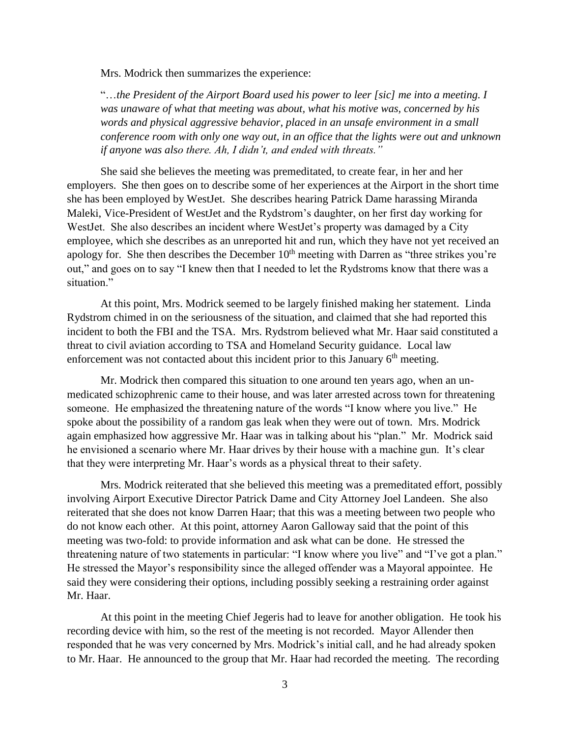Mrs. Modrick then summarizes the experience:

"…*the President of the Airport Board used his power to leer [sic] me into a meeting. I was unaware of what that meeting was about, what his motive was, concerned by his words and physical aggressive behavior, placed in an unsafe environment in a small conference room with only one way out, in an office that the lights were out and unknown if anyone was also there. Ah, I didn't, and ended with threats."*

She said she believes the meeting was premeditated, to create fear, in her and her employers. She then goes on to describe some of her experiences at the Airport in the short time she has been employed by WestJet. She describes hearing Patrick Dame harassing Miranda Maleki, Vice-President of WestJet and the Rydstrom's daughter, on her first day working for WestJet. She also describes an incident where WestJet's property was damaged by a City employee, which she describes as an unreported hit and run, which they have not yet received an apology for. She then describes the December 10<sup>th</sup> meeting with Darren as "three strikes you're out," and goes on to say "I knew then that I needed to let the Rydstroms know that there was a situation."

At this point, Mrs. Modrick seemed to be largely finished making her statement. Linda Rydstrom chimed in on the seriousness of the situation, and claimed that she had reported this incident to both the FBI and the TSA. Mrs. Rydstrom believed what Mr. Haar said constituted a threat to civil aviation according to TSA and Homeland Security guidance. Local law enforcement was not contacted about this incident prior to this January  $6<sup>th</sup>$  meeting.

Mr. Modrick then compared this situation to one around ten years ago, when an unmedicated schizophrenic came to their house, and was later arrested across town for threatening someone. He emphasized the threatening nature of the words "I know where you live." He spoke about the possibility of a random gas leak when they were out of town. Mrs. Modrick again emphasized how aggressive Mr. Haar was in talking about his "plan." Mr. Modrick said he envisioned a scenario where Mr. Haar drives by their house with a machine gun. It's clear that they were interpreting Mr. Haar's words as a physical threat to their safety.

Mrs. Modrick reiterated that she believed this meeting was a premeditated effort, possibly involving Airport Executive Director Patrick Dame and City Attorney Joel Landeen. She also reiterated that she does not know Darren Haar; that this was a meeting between two people who do not know each other. At this point, attorney Aaron Galloway said that the point of this meeting was two-fold: to provide information and ask what can be done. He stressed the threatening nature of two statements in particular: "I know where you live" and "I've got a plan." He stressed the Mayor's responsibility since the alleged offender was a Mayoral appointee. He said they were considering their options, including possibly seeking a restraining order against Mr. Haar.

At this point in the meeting Chief Jegeris had to leave for another obligation. He took his recording device with him, so the rest of the meeting is not recorded. Mayor Allender then responded that he was very concerned by Mrs. Modrick's initial call, and he had already spoken to Mr. Haar. He announced to the group that Mr. Haar had recorded the meeting. The recording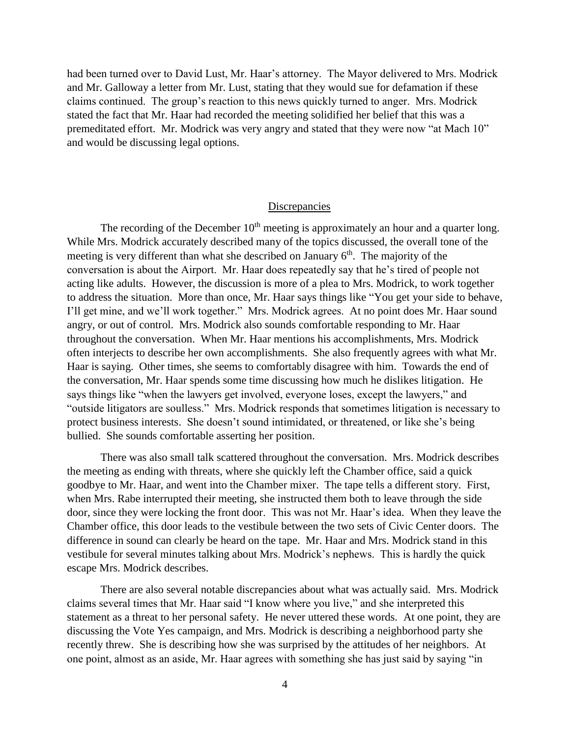had been turned over to David Lust, Mr. Haar's attorney. The Mayor delivered to Mrs. Modrick and Mr. Galloway a letter from Mr. Lust, stating that they would sue for defamation if these claims continued. The group's reaction to this news quickly turned to anger. Mrs. Modrick stated the fact that Mr. Haar had recorded the meeting solidified her belief that this was a premeditated effort. Mr. Modrick was very angry and stated that they were now "at Mach 10" and would be discussing legal options.

## **Discrepancies**

The recording of the December  $10<sup>th</sup>$  meeting is approximately an hour and a quarter long. While Mrs. Modrick accurately described many of the topics discussed, the overall tone of the meeting is very different than what she described on January  $6<sup>th</sup>$ . The majority of the conversation is about the Airport. Mr. Haar does repeatedly say that he's tired of people not acting like adults. However, the discussion is more of a plea to Mrs. Modrick, to work together to address the situation. More than once, Mr. Haar says things like "You get your side to behave, I'll get mine, and we'll work together." Mrs. Modrick agrees. At no point does Mr. Haar sound angry, or out of control. Mrs. Modrick also sounds comfortable responding to Mr. Haar throughout the conversation. When Mr. Haar mentions his accomplishments, Mrs. Modrick often interjects to describe her own accomplishments. She also frequently agrees with what Mr. Haar is saying. Other times, she seems to comfortably disagree with him. Towards the end of the conversation, Mr. Haar spends some time discussing how much he dislikes litigation. He says things like "when the lawyers get involved, everyone loses, except the lawyers," and "outside litigators are soulless." Mrs. Modrick responds that sometimes litigation is necessary to protect business interests. She doesn't sound intimidated, or threatened, or like she's being bullied. She sounds comfortable asserting her position.

There was also small talk scattered throughout the conversation. Mrs. Modrick describes the meeting as ending with threats, where she quickly left the Chamber office, said a quick goodbye to Mr. Haar, and went into the Chamber mixer. The tape tells a different story. First, when Mrs. Rabe interrupted their meeting, she instructed them both to leave through the side door, since they were locking the front door. This was not Mr. Haar's idea. When they leave the Chamber office, this door leads to the vestibule between the two sets of Civic Center doors. The difference in sound can clearly be heard on the tape. Mr. Haar and Mrs. Modrick stand in this vestibule for several minutes talking about Mrs. Modrick's nephews. This is hardly the quick escape Mrs. Modrick describes.

There are also several notable discrepancies about what was actually said. Mrs. Modrick claims several times that Mr. Haar said "I know where you live," and she interpreted this statement as a threat to her personal safety. He never uttered these words. At one point, they are discussing the Vote Yes campaign, and Mrs. Modrick is describing a neighborhood party she recently threw. She is describing how she was surprised by the attitudes of her neighbors. At one point, almost as an aside, Mr. Haar agrees with something she has just said by saying "in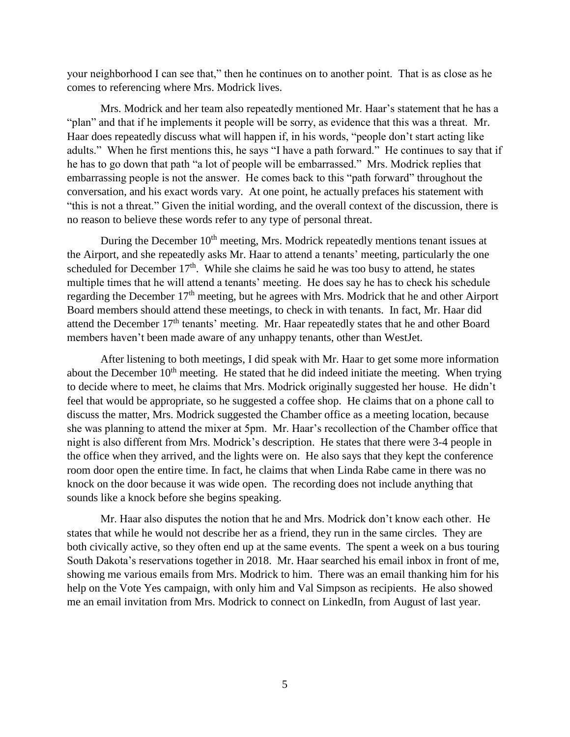your neighborhood I can see that," then he continues on to another point. That is as close as he comes to referencing where Mrs. Modrick lives.

Mrs. Modrick and her team also repeatedly mentioned Mr. Haar's statement that he has a "plan" and that if he implements it people will be sorry, as evidence that this was a threat. Mr. Haar does repeatedly discuss what will happen if, in his words, "people don't start acting like adults." When he first mentions this, he says "I have a path forward." He continues to say that if he has to go down that path "a lot of people will be embarrassed." Mrs. Modrick replies that embarrassing people is not the answer. He comes back to this "path forward" throughout the conversation, and his exact words vary. At one point, he actually prefaces his statement with "this is not a threat." Given the initial wording, and the overall context of the discussion, there is no reason to believe these words refer to any type of personal threat.

During the December 10<sup>th</sup> meeting, Mrs. Modrick repeatedly mentions tenant issues at the Airport, and she repeatedly asks Mr. Haar to attend a tenants' meeting, particularly the one scheduled for December  $17<sup>th</sup>$ . While she claims he said he was too busy to attend, he states multiple times that he will attend a tenants' meeting. He does say he has to check his schedule regarding the December 17<sup>th</sup> meeting, but he agrees with Mrs. Modrick that he and other Airport Board members should attend these meetings, to check in with tenants. In fact, Mr. Haar did attend the December 17th tenants' meeting. Mr. Haar repeatedly states that he and other Board members haven't been made aware of any unhappy tenants, other than WestJet.

After listening to both meetings, I did speak with Mr. Haar to get some more information about the December  $10<sup>th</sup>$  meeting. He stated that he did indeed initiate the meeting. When trying to decide where to meet, he claims that Mrs. Modrick originally suggested her house. He didn't feel that would be appropriate, so he suggested a coffee shop. He claims that on a phone call to discuss the matter, Mrs. Modrick suggested the Chamber office as a meeting location, because she was planning to attend the mixer at 5pm. Mr. Haar's recollection of the Chamber office that night is also different from Mrs. Modrick's description. He states that there were 3-4 people in the office when they arrived, and the lights were on. He also says that they kept the conference room door open the entire time. In fact, he claims that when Linda Rabe came in there was no knock on the door because it was wide open. The recording does not include anything that sounds like a knock before she begins speaking.

Mr. Haar also disputes the notion that he and Mrs. Modrick don't know each other. He states that while he would not describe her as a friend, they run in the same circles. They are both civically active, so they often end up at the same events. The spent a week on a bus touring South Dakota's reservations together in 2018. Mr. Haar searched his email inbox in front of me, showing me various emails from Mrs. Modrick to him. There was an email thanking him for his help on the Vote Yes campaign, with only him and Val Simpson as recipients. He also showed me an email invitation from Mrs. Modrick to connect on LinkedIn, from August of last year.